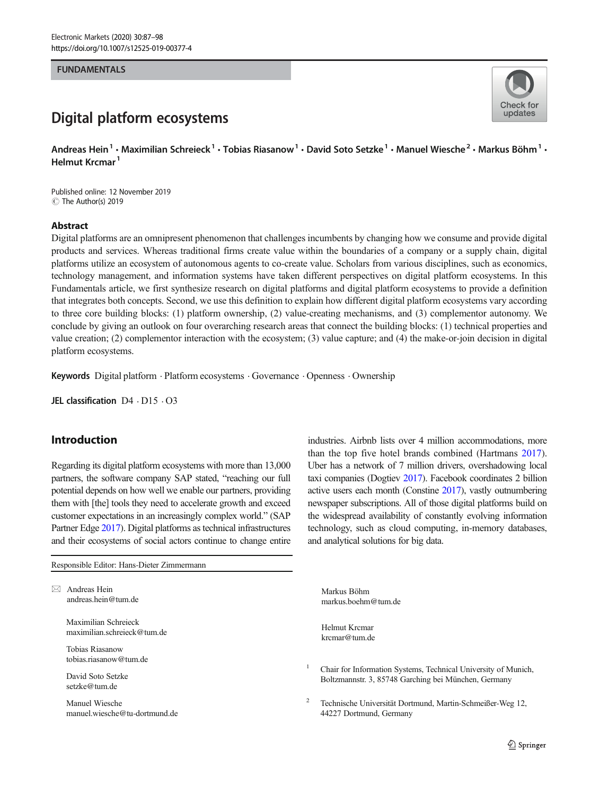#### FUNDAMENTALS

# Digital platform ecosystems



Andreas Hein<sup>1</sup> • Maximilian Schreieck<sup>1</sup> • Tobias Riasanow<sup>1</sup> • David Soto Setzke<sup>1</sup> • Manuel Wiesche<sup>2</sup> • Markus Böhm<sup>1</sup> • Helmut Krcmar<sup>1</sup>

C The Author(s) 2019 Published online: 12 November 2019

#### Abstract

Digital platforms are an omnipresent phenomenon that challenges incumbents by changing how we consume and provide digital products and services. Whereas traditional firms create value within the boundaries of a company or a supply chain, digital platforms utilize an ecosystem of autonomous agents to co-create value. Scholars from various disciplines, such as economics, technology management, and information systems have taken different perspectives on digital platform ecosystems. In this Fundamentals article, we first synthesize research on digital platforms and digital platform ecosystems to provide a definition that integrates both concepts. Second, we use this definition to explain how different digital platform ecosystems vary according to three core building blocks: (1) platform ownership, (2) value-creating mechanisms, and (3) complementor autonomy. We conclude by giving an outlook on four overarching research areas that connect the building blocks: (1) technical properties and value creation; (2) complementor interaction with the ecosystem; (3) value capture; and (4) the make-or-join decision in digital platform ecosystems.

Keywords Digital platform . Platform ecosystems . Governance . Openness . Ownership

JEL classification D4 · D15 · O3

## Introduction

Regarding its digital platform ecosystems with more than 13,000 partners, the software company SAP stated, "reaching our full potential depends on how well we enable our partners, providing them with [the] tools they need to accelerate growth and exceed customer expectations in an increasingly complex world." (SAP Partner Edge [2017\)](#page-10-0). Digital platforms as technical infrastructures and their ecosystems of social actors continue to change entire

Responsible Editor: Hans-Dieter Zimmermann

 $\boxtimes$  Andreas Hein andreas.hein@tum.de

> [Maximilian Schreieck](mailto:andreas.hein@in.tum.de) maximilian.schreieck@tum.de

Tobias Riasanow tobias.riasanow@tum.de

David Soto Setzke setzke@tum.de

Manuel Wiesche manuel.wiesche@tu-dortmund.de industries. Airbnb lists over 4 million accommodations, more than the top five hotel brands combined (Hartmans [2017\)](#page-9-0). Uber has a network of 7 million drivers, overshadowing local taxi companies (Dogtiev [2017\)](#page-9-0). Facebook coordinates 2 billion active users each month (Constine [2017](#page-9-0)), vastly outnumbering newspaper subscriptions. All of those digital platforms build on the widespread availability of constantly evolving information technology, such as cloud computing, in-memory databases, and analytical solutions for big data.

Markus Böhm markus.boehm@tum.de

Helmut Krcmar krcmar@tum.de

- <sup>1</sup> Chair for Information Systems, Technical University of Munich, Boltzmannstr. 3, 85748 Garching bei München, Germany
- <sup>2</sup> Technische Universität Dortmund, Martin-Schmeißer-Weg 12, 44227 Dortmund, Germany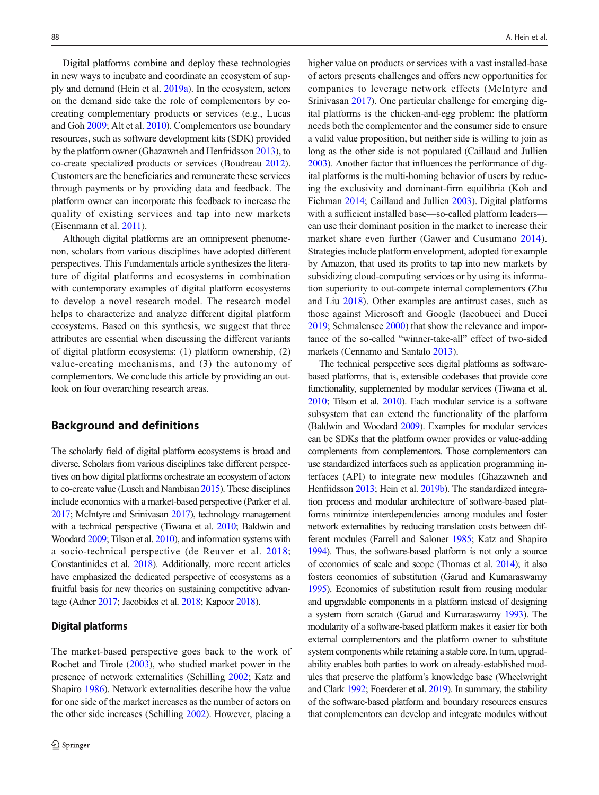Digital platforms combine and deploy these technologies in new ways to incubate and coordinate an ecosystem of supply and demand (Hein et al. [2019a\)](#page-9-0). In the ecosystem, actors on the demand side take the role of complementors by cocreating complementary products or services (e.g., Lucas and Goh [2009;](#page-9-0) Alt et al. [2010](#page-8-0)). Complementors use boundary resources, such as software development kits (SDK) provided by the platform owner (Ghazawneh and Henfridsson [2013\)](#page-9-0), to co-create specialized products or services (Boudreau [2012\)](#page-8-0). Customers are the beneficiaries and remunerate these services through payments or by providing data and feedback. The platform owner can incorporate this feedback to increase the quality of existing services and ta[p into](#page-9-0) new markets (Eisenmann et al. 2011).

Although digital platforms are an omnipresent phenomenon, scholars from various disciplines have adopted different perspectives. This Fundamentals article synthesizes the literature of digital platforms and ecosystems in combination with contemporary examples of digital platform ecosystems to develop a novel research model. The research model helps to characterize and analyze different digital platform ecosystems. Based on this synthesis, we suggest that three attributes are essential when discussing the different variants of digital platform ecosystems: (1) platform ownership, (2) value-creating mechanisms, and (3) the autonomy of complementors. We conclude this article by providing an outlook on four overarching research areas.

#### Background and definitions

The scholarly field of digital platform ecosystems is broad and diverse. Scholars from various disciplines take diff[erent](#page-9-0) perspectives on how digital platforms orchestrate an ecosystem of actors to co-create value [\(Lusch](#page-10-0) and Nambisan 2015). The[se disc](#page-10-0)iplines include economics with a market-based perspective (Parker et al. 2017; [McIn](#page-10-0)tyre and Srinivasan 201[7\), tech](#page-8-0)nology mana[gemen](#page-10-0)t with a technical perspective (Tiwana et al. 2010; Baldwin and Woodard 2009; Tilso[n et al.](#page-9-0) 2010), and information syste[ms wit](#page-9-0)h a socio-technical perspective (de Reuver et al. 2018; Constantinides et al. 2018). Additionally, more recent articles have emphasized the dedicated perspective of ecosyste[ms as a](#page-8-0) fruitful basis for [new](#page-9-0) theories o[n sust](#page-9-0)aining competitive advantage (Adner 2017; Jacobides et al. 2018; Kapoor 2018).

#### Digital platforms

higher value on products or services with a vast installed-base of actors presents challenges and offers new opportunities for companie[s to l](#page-10-0)everage network effects (McIntyre and Srinivasan 2017). One particular challenge for emerging digital platforms is the chicken-and-egg problem: the platform needs both the complementor and the consumer side to ensure a valid value proposition, but neither side is willing to join as [long](#page-8-0) as the other side is not populated (Caillaud and Jullien 2003). Another factor that influences the performance of digital platforms is the multi-homing behavior of users by reducing the e[xclus](#page-9-0)ivity and dominant-fi[rm eq](#page-8-0)uilibria (Koh and Fichman 2014; Caillaud and Jullien 2003). Digital platforms with a sufficient installed base—so-called platform leaders can use their dominant position in the market to increa[se thei](#page-9-0)r market share even further (Gawer and Cusumano 2014). Strategies include platform envelopment, adopted for example by Amazon, that used its profits to tap into new markets by subsidizing cloud-computing services or by using its information superiority to out-compet[e inte](#page-10-0)rnal complementors (Zhu and Liu 2018). Other examples are antitrust cases, such as those against Microso[ft and](#page-9-0) Google (Iaco[bucci](#page-10-0) and Ducci 2019; Schmalensee 2000) that show the relevance and importance of the so-called "winner-take-all" effect of two-sided [mark](#page-9-0)ets (Cennamo and Santalo 2013).

The technical perspective sees digital platforms as softwarebased platforms, that is, extensible codebases that provide core functionality, supplemented by modular services (Tiwana et al. [2010;](#page-10-0) Tilson et al. [2010](#page-10-0)). Each modular service is a software subsystem that can extend the functionality of the platform (Baldwin and Woodard [2009](#page-8-0)). Examples for modular services can be SDKs that the platform owner provides or value-adding complements from complementors. Those complementors can use standardized interfaces such as application programming interfaces (API) to integrate new modules (Ghazawneh and Henfridsson [2013;](#page-9-0) Hein et al. [2019b](#page-9-0)). The standardized integration process and modular architecture of software-based platforms minimize interdependencies among modules and foster network externalities by reducing translation costs between different modules (Farrell and Saloner [1985;](#page-9-0) Katz and Shapiro [1994\)](#page-9-0). Thus, the software-based platform is not only a source of economies of scale and scope (Thomas et al. [2014](#page-10-0)); it also fosters economies of substitution (Garud and Kumaraswamy [1995\)](#page-9-0). Economies of substitution result from reusing modular and upgradable components in a platform instead of designing a system from scratch (Garud and Kumaraswamy [1993\)](#page-9-0). The modularity of a software-based platform makes it easier for both external complementors and the platform owner to substitute system components while retaining a stable core. In turn, upgradability enables both parties to work on already-established modules that preserve the platform's knowledge base (Wheelwright and Clark [1992;](#page-10-0) Foerderer et al. [2019](#page-9-0)). In summary, the stability of the software-based platform and boundary resources ensures that complementors can develop and integrate modules without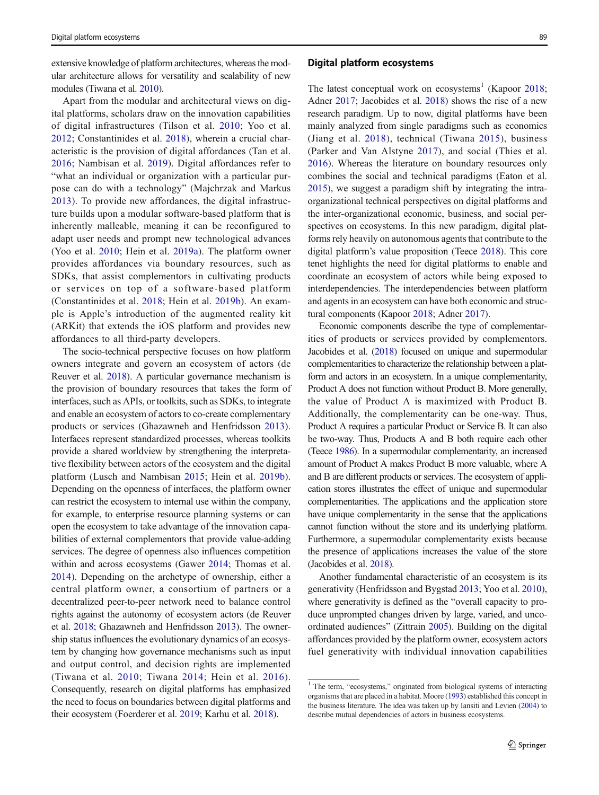extensive knowledge of platform architectures, whereas the modular architecture allows for versatility and scalability of new modules (Tiwana et al. [2010\)](#page-10-0).

Apart from the modular and architectural views on digital platforms, scholars draw on the innovation capabilities of digital infrastructures (Tilson et al. [2010;](#page-10-0) Yoo et al. [2012](#page-10-0); Constantinides et al. [2018](#page-9-0)), wherein a crucial characteristic is the provision of digital affordances (Tan et al. [2016](#page-10-0); Nambisan et al. [2019](#page-10-0)). Digital affordances refer to "what an individual or organization with a particular purpose can do with a technology" (Majchrzak and Markus [2013](#page-10-0)). To provide new affordances, the digital infrastructure builds upon a modular software-based platform that is inherently malleable, meaning it can be reconfigured to adapt user needs and prompt new technological advances (Yoo et al. [2010;](#page-10-0) Hein et al. [2019a](#page-9-0)). The platform owner provides affordances via boundary resources, such as SDKs, that assist complementors in cultivating products or services on top of a software-based platform (Constantinides et al. [2018;](#page-9-0) Hein et al. [2019b](#page-9-0)). An example is Apple's introduction of the augmented reality kit (ARKit) that extends the iOS platform and provides new affordances to all third-party developers.

The socio-technical perspective focuses on how platform owners integrate and govern an ecosystem of actors (de Reuver et al. [201](#page-9-0)8). A particular governance mechanism is the provision of boundary resources that takes the form of interfaces, such as APIs, or toolkits, such as SDKs, to integrate and enable an ecosystem of actors to co-create complementary products or services (Ghazawneh an[d Hen](#page-9-0)fridsson 2013). Interfaces represent standardized processes, whereas toolkits provide a shared worldview by strengthening the interpretative flexibility between actors of the ecosystem and the digital platform (Lusch and [Nam](#page-9-0)bisan 201[5; Hein](#page-9-0) et al. 2019b). Depending on the openness of interfaces, the platform owner can restrict the ecosystem to internal use within the company, for example, to enterprise resource planning systems or can open the ecosystem to take advantage of the innovation capabilities of external complementors that provide value-adding services. The degree of openness also influences competition within and across ecosystem[s \(Gaw](#page-9-0)er 2014; Thoma[s et a](#page-10-0)l. 2014). Depending on the archetype of ownership, either a central platform owner, a consortium of partners or a decentralized peer-to-peer network need to balance control rights against the autonomy of ecosystem [actor](#page-9-0)s (de Reuver et al. 2018; Gha[zawne](#page-9-0)h and Henfridsson 2013). The ownership status influences the evolutionary dynamics of an ecosystem by changing how governance mechanisms such as input and output control, and decision rights are imple[mented](#page-10-0) (Tiwan[a et a](#page-10-0)l. 2010; Ti[wana](#page-9-0) 2014; Hein et al. 2016). Consequently, research on digital platforms has emphasized the need to focus on boundaries between digital platforms and their [ecosy](#page-9-0)stem (Foerde[rer et](#page-9-0) al. 2019; Karhu et al. 2018).

#### Digital platform ecosystems

The latest conceptual work on ecosystems<sup>1</sup> (Kapoor [2018;](#page-9-0) Adner [2017](#page-8-0); Jacobides et al. [2018\)](#page-9-0) shows the rise of a new research paradigm. Up to now, digital platforms have been mainly analyzed from single paradigms such as economics (Jiang et al. [2018](#page-9-0)), technical (Tiwana [2015\)](#page-10-0), business (Parker and Van Alstyne [2017\)](#page-10-0), and social (Thies et al. [2016](#page-10-0)). Whereas the literature on boundary resources only combines the social and technical paradigms (Eaton et al. [2015\)](#page-9-0), we suggest a paradigm shift by integrating the intraorganizational technical perspectives on digital platforms and the inter-organizational economic, business, and social perspectives on ecosystems. In this new paradigm, digital platforms rely heavily on autonomous agents that contribute to the digital platform's value proposition (Teece [2018\)](#page-10-0). This core tenet highlights the need for digital platforms to enable and coordinate an ecosystem of actors while being exposed to interdependencies. The interdependencies between platform and agents in an ecosystem can have both economic and structural components (Kapoor [2018](#page-9-0); Adner [2017](#page-8-0)).

Economic components describe the type of complementarities of products or services provided by complementors. Jacobides et al. [\(2018\)](#page-9-0) focused on unique and supermodular complementarities to characterize the relationship between a platform and actors in an ecosystem. In a unique complementarity, Product A does not function without Product B. More generally, the value of Product A is maximized with Product B. Additionally, the complementarity can be one-way. Thus, Product A requires a particular Product or Service B. It can also be two-way. Thus, Products A and B both require each other (Teece 1986). [In a s](#page-10-0)upermodular complementarity, an increased amount of Product A makes Product B more valuable, where A and B are different products or services. The ecosystem of application stores illustrates the effect of unique and supermodular complementarities. The applications and the application store have unique complementarity in the sense that the applications cannot function without the store and its underlying platform. Furthermore, a supermodular complementarity exists because the presence of applications increases the value of the store (Jacobides et al. 2018).

Another fundamental characteristic of an ecosystem is its generativity (Henfridsson and Bygstad [2013](#page-9-0); Yoo et al. [2010\)](#page-10-0), where generativity is defined as the "overall capacity to produce unprompted changes driven by large, varied, and uncoordinated audiences" (Zittrain [2005\)](#page-10-0). Building on the digital affordances provided by the platform owner, ecosystem actors fuel generativity with individual innovation capabilities

<sup>&</sup>lt;sup>1</sup> The term, "ecosystems," originated from biological systems of interacting organisms that are placed in a habitat. Moore [\(1993\)](#page-10-0) established this concept in the business literature. The idea was taken up by Iansiti and Levien [\(2004\)](#page-9-0) to describe mutual dependencies of actors in business ecosystems.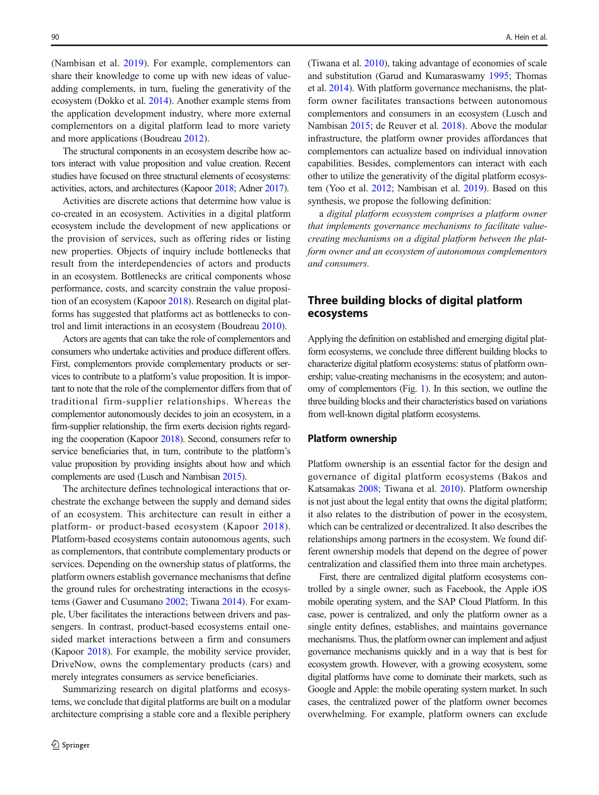(Nambisan et al. [2019\)](#page-10-0). For example, complementors can share their knowledge to come up with new ideas of valueadding complements, in turn, fueling the generativity of the ecosystem (Dokko et al. [2014\)](#page-9-0). Another example stems from the application development industry, where more external complementors on a digital platform lead to more variety and more applications (Boudreau [2012\)](#page-8-0).

The structural components in an ecosystem describe how actors interact with value proposition and value creation. Recent studies have focused on three structural elements of ecosystems: activities, actors, and architectures (Kapoor [2018](#page-9-0); Adner [2017](#page-8-0)).

Activities are discrete actions that determine how value is co-created in an ecosystem. Activities in a digital platform ecosystem include the development of new applications or the provision of services, such as offering rides or listing new properties. Objects of inquiry include bottlenecks that result from the interdependencies of actors and products in an ecosystem. Bottlenecks are critical components whose performance, costs, and scarcity constrain the value proposition of an ecosystem (Kapoor [2018](#page-9-0)). Research on digital platforms has suggested that platforms act as bottlenecks to control and limit interactions in an ecosystem (Boudreau [2010](#page-8-0)).

Actors are agents that can take the role of complementors and consumers who undertake activities and produce different offers. First, complementors provide complementary products or services to contribute to a platform's value proposition. It is important to note that the role of the complementor differs from that of traditional firm-supplier relationships. Whereas the complementor autonomously decides to join an ecosystem, in a firm-supplier relationship, the firm exerts decision rights regarding the cooperation (Kapoor [2018\)](#page-9-0). Second, consumers refer to service beneficiaries that, in turn, contribute to the platform's value proposition by providing insights about how and which complements are used (Lusch and Nambisan [2015](#page-9-0)).

The architecture defines technological interactions that orchestrate the exchange between the supply and demand sides of an ecosystem. This architecture can result in either a platform- or product-based ecosystem (Kapoor [2018](#page-9-0)). Platform-based ecosystems contain autonomous agents, such as complementors, that contribute complementary products or services. Depending on the ownership status of platforms, the platform owners establish governance mechanisms that define the ground rules for orchestrating interactions in the ecosystems (Gawer and Cusumano [2002](#page-9-0); Tiwana [2014\)](#page-10-0). For example, Uber facilitates the interactions between drivers and passengers. In contrast, product-based ecosystems entail onesided market interactions between a firm and consumers (Kapoor [2018\)](#page-9-0). For example, the mobility service provider, DriveNow, owns the complementary products (cars) and merely integrates consumers as service beneficiaries.

Summarizing research on digital platforms and ecosystems, we conclude that digital platforms are built on a modular architecture comprising a stable core and a flexible periphery (Tiwana et al. [2010\)](#page-10-0), taking advantage of economies of scale and substitution (Garud and Kumaraswamy [1995](#page-9-0); Thomas et al. [2014\)](#page-10-0). With platform governance mechanisms, the platform owner facilitates transactions between autonomous complementors and consumers in an ecosystem (Lusch and Nambisan [2015](#page-9-0); de Reuver et al. [2018](#page-9-0)). Above the modular infrastructure, the platform owner provides affordances that complementors can actualize based on individual innovation capabilities. Besides, complementors can interact with each other to utilize the generativity of the digital platform ecosystem (Yoo et al. [2012](#page-10-0); Nambisan et al. [2019\)](#page-10-0). Based on this synthesis, we propose the following definition:

a digital platform ecosystem comprises a platform owner that implements governance mechanisms to facilitate valuecreating mechanisms on a digital platform between the platform owner and an ecosystem of autonomous complementors and consumers.

## Three building blocks of digital platform ecosystems

Applying the definition on established and emerging digital platform ecosystems, we conclude three different building blocks to characterize digital platform ecosystems: status of platform ownership; value-creating mechanisms in the ecosystem; and auton-omy of complementors (Fig. [1](#page-4-0)). In this section, we outline the three building blocks and their characteristics based on variations from well-known digital platform ecosystems.

#### Platform ownership

Platform ownership is an essential factor for the design and governance of digital platform ecosystems (Bakos and Katsamakas [2008;](#page-8-0) Tiwana et al. [2010\)](#page-10-0). Platform ownership is not just about the legal entity that owns the digital platform; it also relates to the distribution of power in the ecosystem, which can be centralized or decentralized. It also describes the relationships among partners in the ecosystem. We found different ownership models that depend on the degree of power centralization and classified them into three main archetypes.

First, there are centralized digital platform ecosystems controlled by a single owner, such as Facebook, the Apple iOS mobile operating system, and the SAP Cloud Platform. In this case, power is centralized, and only the platform owner as a single entity defines, establishes, and maintains governance mechanisms. Thus, the platform owner can implement and adjust governance mechanisms quickly and in a way that is best for ecosystem growth. However, with a growing ecosystem, some digital platforms have come to dominate their markets, such as Google and Apple: the mobile operating system market. In such cases, the centralized power of the platform owner becomes overwhelming. For example, platform owners can exclude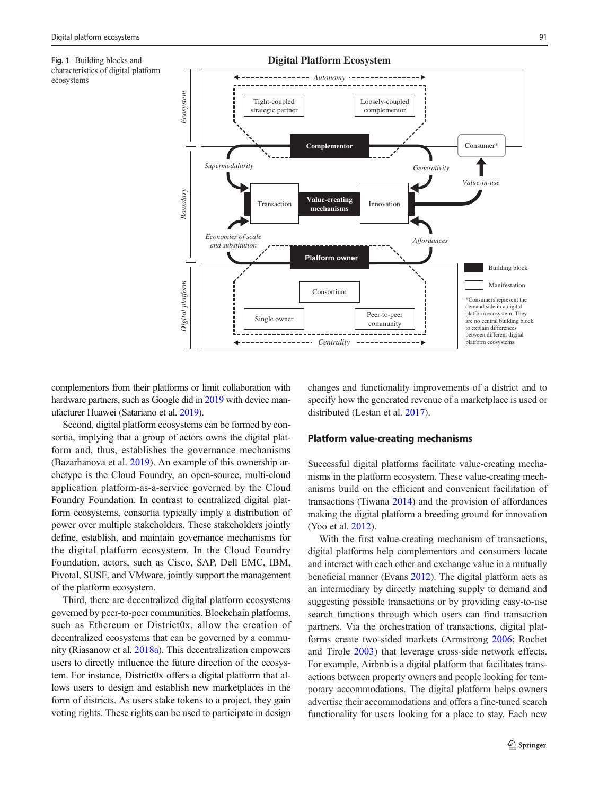<span id="page-4-0"></span>





complementors from their platforms or limit collaboration with hardware partners, such as Google did in [2019](#page-10-0) with device manufacturer Huawei (Satariano et al. 2019).

Second, digital platform ecosystems can be formed by consortia, implying that a group of actors owns the digital platform and, thus, establishes the governance mechanisms (Bazarhanova et al. [2019\)](#page-8-0). An example of this ownership archetype is the Cloud Foundry, an open-source, multi-cloud application platform-as-a-service governed by the Cloud Foundry Foundation. In contrast to centralized digital platform ecosystems, consortia typically imply a distribution of power over multiple stakeholders. These stakeholders jointly define, establish, and maintain governance mechanisms for the digital platform ecosystem. In the Cloud Foundry Foundation, actors, such as Cisco, SAP, Dell EMC, IBM, Pivotal, SUSE, and VMware, jointly support the management of the platform ecosystem.

Third, there are decentralized digital platform ecosystems governed by peer-to-peer communities. Blockchain platforms, such as Ethereum or District0x, allow the creation of decentralized ecosystems that can be governed by a community (Riasanow et al. [2018a\)](#page-10-0). This decentralization empowers users to directly influence the future direction of the ecosystem. For instance, District0x offers a digital platform that allows users to design and establish new marketplaces in the form of districts. As users stake tokens to a project, they gain voting rights. These rights can be used to participate in design

changes and functionality improvements of a district and to specify how the generated revenue of a marketplace is used or distributed (Lestan et al. [2017\)](#page-9-0).

#### Platform value-creating mechanisms

Successful digital platforms facilitate value-creating mechanisms in the platform ecosystem. These value-creating mechanisms build on the efficient and convenient facilitation of transactions (Tiwana [2014\)](#page-10-0) and the provision of affordances making the digital platform a breeding ground for innovation (Yoo et al. [2012\)](#page-10-0).

With the first value-creating mechanism of transactions, digital platforms help complementors and consumers locate and interact with each other and exchange value in a mutually beneficial manner (Evans [2012](#page-9-0)). The digital platform acts as an intermediary by directly matching supply to demand and suggesting possible transactions or by providing easy-to-use search functions through which users can find transaction partners. Via the orchestration of transactions, digital platforms create two-sided markets (Armstrong [2006](#page-8-0); Rochet and Tirole [2003](#page-10-0)) that leverage cross-side network effects. For example, Airbnb is a digital platform that facilitates transactions between property owners and people looking for temporary accommodations. The digital platform helps owners advertise their accommodations and offers a fine-tuned search functionality for users looking for a place to stay. Each new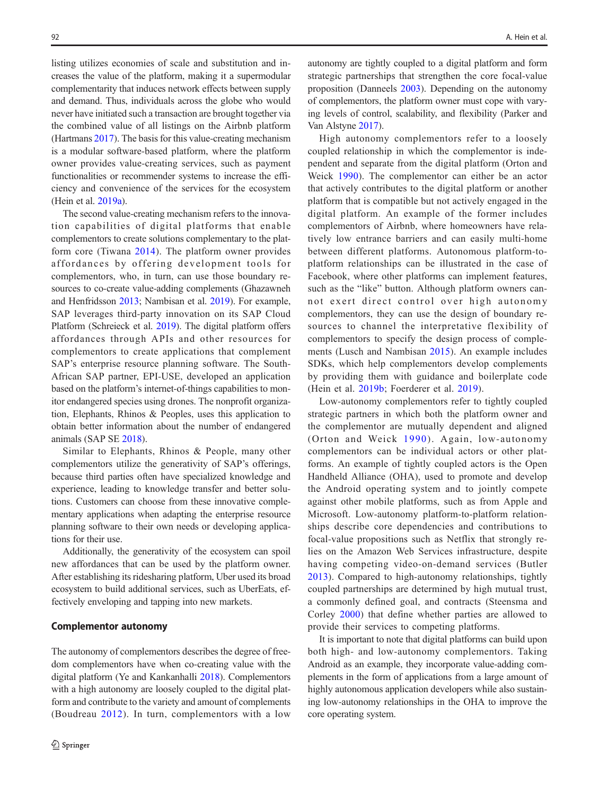listing utilizes economies of scale and substitution and increases the value of the platform, making it a supermodular complementarity that induces network effects between supply and demand. Thus, individuals across the globe who would never have initiated such a transaction are brought together via the combined value of all listings on the Airbnb platform (Hartmans [2017](#page-9-0)). The basis for this value-creating mechanism is a modular software-based platform, where the platform owner provides value-creating services, such as payment functionalities or recommender systems to increase the efficiency and convenience of the services for the ecosystem (Hein et al. [2019a](#page-9-0)).

The second value-creating mechanism refers to the innovation capabilities of digital platforms that enable complementors to create solutions complementary to the platform core (Tiwana [2014\)](#page-10-0). The platform owner provides affordances by offering development tools for complementors, who, in turn, can use those boundary resources to co-create value-adding complements (Ghazawneh and Henfridsson [2013](#page-9-0); Nambisan et al. [2019\)](#page-10-0). For example, SAP leverages third-party innovation on its SAP Cloud Platform (Schreieck et al. [2019](#page-10-0)). The digital platform offers affordances through APIs and other resources for complementors to create applications that complement SAP's enterprise resource planning software. The South-African SAP partner, EPI-USE, developed an application based on the platform's internet-of-things capabilities to monitor endangered species using drones. The nonprofit organization, Elephants, Rhinos & Peoples, uses this application to obtain better information about the number of endangered animals (SAP SE [2018\)](#page-10-0).

Similar to Elephants, Rhinos & People, many other complementors utilize the generativity of SAP's offerings, because third parties often have specialized knowledge and experience, leading to knowledge transfer and better solutions. Customers can choose from these innovative complementary applications when adapting the enterprise resource planning software to their own needs or developing applications for their use.

Additionally, the generativity of the ecosystem can spoil new affordances that can be used by the platform owner. After establishing its ridesharing platform, Uber used its broad ecosystem to build additional services, such as UberEats, effectively enveloping and tapping into new markets.

#### Complementor autonomy

The autonomy of complementors describes the degree of freedom complementors have when co-creating value with the digital platform (Ye and Kankanhalli [2018](#page-10-0)). Complementors with a high autonomy are loosely coupled to the digital platform and contribute to the variety and amount of complements (Boudreau [2012](#page-8-0)). In turn, complementors with a low

autonomy are tightly coupled to a digital platform and form strategic partnerships that strengthen the core focal-value proposition (Danneels [2003](#page-9-0)). Depending on the autonomy of complementors, the platform owner must cope with varying levels of control, scalability, and flexibility (Parker and Van Alstyne [2017](#page-10-0)).

High autonomy complementors refer to a loosely coupled relationship in which the complementor is independent and separate from the digital platform (Orton and Weick [1990\)](#page-10-0). The complementor can either be an actor that actively contributes to the digital platform or another platform that is compatible but not actively engaged in the digital platform. An example of the former includes complementors of Airbnb, where homeowners have relatively low entrance barriers and can easily multi-home between different platforms. Autonomous platform-toplatform relationships can be illustrated in the case of Facebook, where other platforms can implement features, such as the "like" button. Although platform owners cannot exert direct control over high autonomy complementors, they can use the design of boundary resources to channel the interpretative flexibility of complementors to specify the design process of complements (Lusch and Nambisan [2015\)](#page-9-0). An example includes SDKs, which help complementors develop complements by providing them with guidance and boilerplate code (Hein et al. [2019b](#page-9-0); Foerderer et al. [2019\)](#page-9-0).

Low-autonomy complementors refer to tightly coupled strategic partners in which both the platform owner and the complementor are mutually dependent and aligned (Orton and Weick [1990](#page-10-0)). Again, low-autonomy complementors can be individual actors or other platforms. An example of tightly coupled actors is the Open Handheld Alliance (OHA), used to promote and develop the Android operating system and to jointly compete against other mobile platforms, such as from Apple and Microsoft. Low-autonomy platform-to-platform relationships describe core dependencies and contributions to focal-value propositions such as Netflix that strongly relies on the Amazon Web Services infrastructure, despite having competing video-on-demand services (Butler [2013](#page-8-0)). Compared to high-autonomy relationships, tightly coupled partnerships are determined by high mutual trust, a commonly defined goal, and contracts (Steensma and Corley [2000](#page-10-0)) that define whether parties are allowed to provide their services to competing platforms.

It is important to note that digital platforms can build upon both high- and low-autonomy complementors. Taking Android as an example, they incorporate value-adding complements in the form of applications from a large amount of highly autonomous application developers while also sustaining low-autonomy relationships in the OHA to improve the core operating system.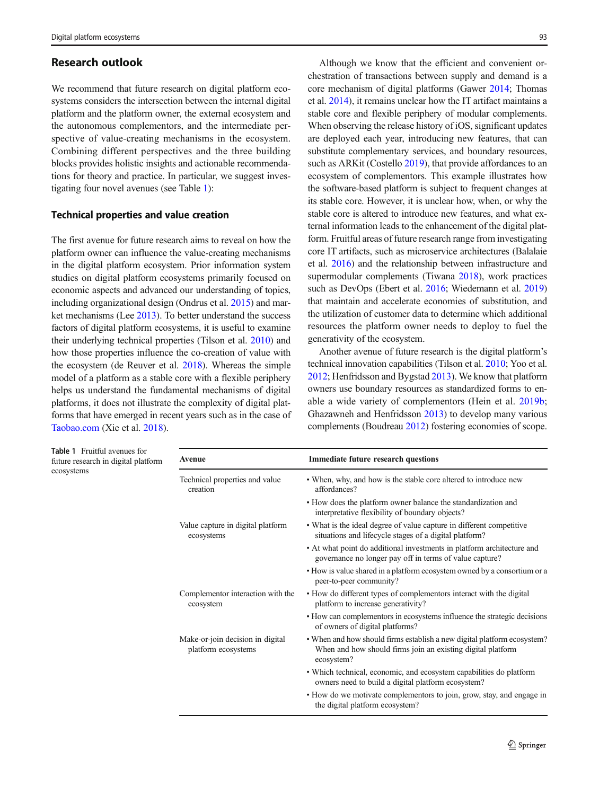## Research outlook

We recommend that future research on digital platform ecosystems considers the intersection between the internal digital platform and the platform owner, the external ecosystem and the autonomous complementors, and the intermediate perspective of value-creating mechanisms in the ecosystem. Combining different perspectives and the three building blocks provides holistic insights and actionable recommendations for theory and practice. In particular, we suggest investigating four novel avenues (see Table 1):

#### Technical properties and value creation

The first avenue for future research aims to reveal on how the platform owner can influence the value-creating mechanisms in the digital platform ecosystem. Prior information system studies on digital platform ecosystems primarily focused on economic aspects and advanced our understanding of topics, including organizational design (Ondrus et al. [2015](#page-10-0)) and market mechanisms (Lee [2013\)](#page-9-0). To better understand the success factors of digital platform ecosystems, it is useful to examine their underlying technical properties (Tilson et al. [2010\)](#page-10-0) and how those properties influence the co-creation of value with the ecosystem (de Reuver et al. [2018\)](#page-9-0). Whereas the simple model of a platform as a stable core with a flexible periphery helps us understand the fundamental mechanisms of digital platforms, it does not illustrate the complexity of digital platforms that have emerged in recent years such as in the case of [Taobao.com](http://taobao.com) (Xie et al. [2018](#page-10-0)).

Table 1 Fruitful avenues for future research in digital platform ecosystems

| ٧       |         |
|---------|---------|
|         |         |
| I       | 정도 시    |
| ۹<br>۰. | ۰<br>M. |

Although we know that the efficient and convenient orchestration of transactions between supply and demand is a core mechanism of digital platforms (Gawer [2014;](#page-9-0) Thomas et al. [2014\)](#page-10-0), it remains unclear how the IT artifact maintains a stable core and flexible periphery of modular complements. When observing the release history of iOS, significant updates are deployed each year, introducing new features, that can substitute complementary services, and boundary resources, such as ARKit (Costello [2019\)](#page-9-0), that provide affordances to an ecosystem of complementors. This example illustrates how the software-based platform is subject to frequent changes at its stable core. However, it is unclear how, when, or why the stable core is altered to introduce new features, and what external information leads to the enhancement of the digital platform. Fruitful areas of future research range from investigating core IT artifacts, such as [micros](#page-8-0)ervice architectures (Balalaie et al. 2016) and the relationship between infrastruct[ure an](#page-10-0)d supermodular complements (Tiwana [2018](#page-9-0)), work practices such as DevOps (Ebert et al. 2016; Wiedemann et al. 2019) that maintain and accelerate economies of substitution, and the utilization of customer data to determine which additional resources the platform owner needs to deploy to fuel the generativity of the ecosystem.

Another avenue of future research is the digital platform's technical innovation capabilities (Tilson et al. [2010;](#page-10-0) Yoo et al. [2012;](#page-10-0) Henfridsson and Bygstad [2013\)](#page-9-0). We know that platform owners use boundary resources as standardized forms to enable a wide variety of complementors (Hein et al. [2019b;](#page-9-0) Ghazawneh and Henfridsson [2013\)](#page-9-0) to develop many various complements (Boudreau [2012\)](#page-8-0) fostering economies of scope.

| Avenue                                                  | <b>Immediate future research questions</b>                                                                                                           |  |
|---------------------------------------------------------|------------------------------------------------------------------------------------------------------------------------------------------------------|--|
| Technical properties and value<br>creation              | • When, why, and how is the stable core altered to introduce new<br>affordances?                                                                     |  |
|                                                         | • How does the platform owner balance the standardization and<br>interpretative flexibility of boundary objects?                                     |  |
| Value capture in digital platform<br>ecosystems         | • What is the ideal degree of value capture in different competitive<br>situations and lifecycle stages of a digital platform?                       |  |
|                                                         | • At what point do additional investments in platform architecture and<br>governance no longer pay off in terms of value capture?                    |  |
|                                                         | • How is value shared in a platform ecosystem owned by a consortium or a<br>peer-to-peer community?                                                  |  |
| Complementor interaction with the<br>ecosystem          | • How do different types of complementors interact with the digital<br>platform to increase generativity?                                            |  |
|                                                         | • How can complementors in ecosystems influence the strategic decisions<br>of owners of digital platforms?                                           |  |
| Make-or-join decision in digital<br>platform ecosystems | • When and how should firms establish a new digital platform ecosystem?<br>When and how should firms join an existing digital platform<br>ecosystem? |  |
|                                                         | • Which technical, economic, and ecosystem capabilities do platform<br>owners need to build a digital platform ecosystem?                            |  |
|                                                         | • How do we motivate complementors to join, grow, stay, and engage in<br>the digital platform ecosystem?                                             |  |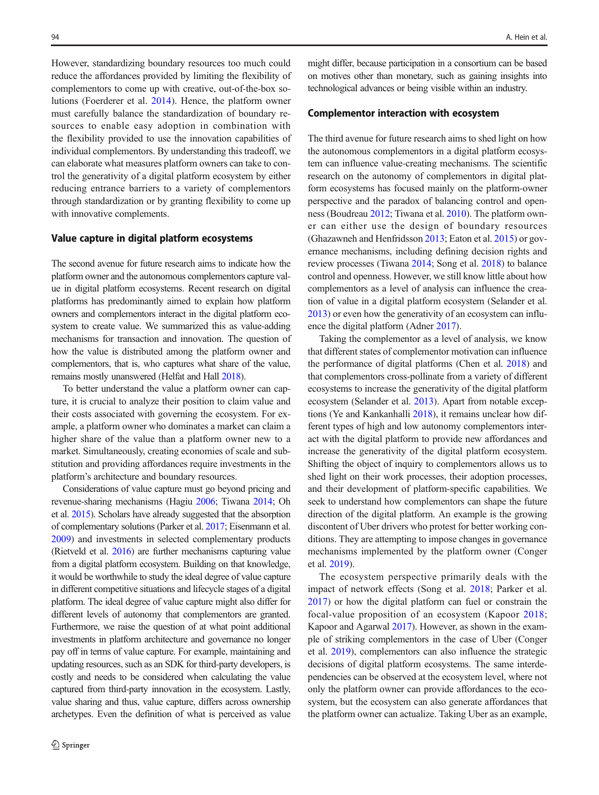However, standardizing boundary resources too much could reduce the affordances pr[ovide](#page-9-0)d by limiting the flexibility of complementors to come up with creative, out-of-the-box solutions (Foerderer et al. 2014). Hence, the platform owner must carefully balance the standardization of boundary resources to enable easy adoption in combination with the flexibility provided to use the innovation capabilities of individual complementors. By understanding this tradeoff, we can elaborate what measures platform owners can take to control the generativity of a digital platform ecosystem by either reducing entrance barriers to a variety of complementors through standardization or by granting flexibility to come up with innovative complements.

#### Value capture in digital platform ecosystems

The second avenue for future research aims to indicate how the platform owner and the autonomous complementors capture value in digital platform ecosystems. Recent research on digital platforms has predominantly aimed to explain how platform owners and complementors interact in the digital platform ecosystem to create value. We summarized this as value-adding mechanisms for transaction and innovation. The question of how the value is distributed among the platform ow[ner an](#page-9-0)d complementors, that is, who captures what share of the value, remains mostly unanswered (Helfat and Hall 2018).

To better understand the value a platform owner can capture, it is crucial to analyze their position to claim value and their costs associated with governing the ecosystem. For example, a platform owner who dominates a market can claim a higher share of the value than a platform owner new to a market. Simultaneously, creating economies of scale and substitution and providing affordances require investments in the platform's architecture and boundary resource[s.](#page-9-0)

[Co](#page-10-0)nsideration[s of v](#page-10-0)alue capture must go beyond pricing and revenue-sharing mechanisms (Hagiu 2006; Tiwana 201[4; Oh](#page-10-0) et al. 2015). Schol[ars ha](#page-9-0)ve already suggested that the absorption of complementary solutions (Parker [et al.](#page-10-0) 2017; Eisenmann et al. 2009) and investments in selected complementary products (Rietveld et al. 2016) are further mechanisms capturing value from a digital platform ecosystem. Building on that knowledge, it would be worthwhile to study the ideal degree of value capture in different competitive situations and lifecycle stages of a digital platform. The ideal degree of value capture might also differ for different levels of autonomy that complementors are granted. Furthermore, we raise the question of at what point additional investments in platform architecture and governance no longer pay off in terms of value capture. For example, maintaining and updating resources, such as an SDK for third-party developers, is costly and needs to be considered when calculating the value captured from third-party innovation in the ecosystem. Lastly, value sharing and thus, value capture, differs across ownership archetypes. Even the definition of what is perceived as value might differ, because participation in a consortium can be based on motives other than monetary, such as gaining insights into technological advances or being visible within an industry.

#### Complementor interaction with ecosystem

The third avenue for future research aims to shed light on how the autonomous complementors in a digital platform ecosystem can influence value-creating mechanisms. The scientific research on the autonomy of complementors in digital platform ecosystems has focused mainly on the platform-owner perspective and the paradox of balancing control and openness (Boudreau [2012;](#page-8-0) Tiwana et al. [2010\)](#page-10-0). The platform owner can either use the design of boundary resources (Ghazawneh and Henfridsson [2013](#page-9-0); Eaton et al. [2015](#page-9-0)) or governance mechanisms, including defining decision rights and review processes (Tiwana [2014](#page-10-0); Song et al. [2018\)](#page-10-0) to balance control and openness. However, we still know little about how complementors as a level of analysis can influence the creation of value in a digital platform ecosystem (Selander et al. [2013\)](#page-10-0) or even how the generativity of an ecosystem can influence the digital platform (Adner [2017\)](#page-8-0).

Taking the complementor as a level of analysis, we know that different states of complementor motivation can influence the performance of digital platforms (Chen et al. [2018](#page-9-0)) and that complementors cross-pollinate from a variety of different ecosystems to increase the generativity of the digital platform ecosystem (Selander et al. [2013](#page-10-0)). Apart from notable exceptions (Ye and Kankanhalli [2018](#page-10-0)), it remains unclear how different types of high and low autonomy complementors interact with the digital platform to provide new affordances and increase the generativity of the digital platform ecosystem. Shifting the object of inquiry to complementors allows us to shed light on their work processes, their adoption processes, and their development of platform-specific capabilities. We seek to understand how complementors can shape the future direction of the digital platform. An example is the growing discontent of Uber drivers who protest for better working conditions. They are attempting to impose changes in governance mechanisms implemented by the platform owner (Conger et al. [2019](#page-9-0)).

The ecosystem perspective primarily deals with the impact of network effects (So[ng et](#page-10-0) al. 2018; Par[ker et](#page-10-0) al. 2017) or how the digital platform can fuel or constrain the focal-value proposition of an ecosyst[em \(K](#page-9-0)apoor 2018; Kapoor [and A](#page-9-0)garwal 2017). However, as shown in the example of striking complementors in the case of Uber ([Conge](#page-9-0)r et al. 2019), complementors can also influence the strategic decisions of digital platform ecosystems. The same interdependencies can be observed at the ecosystem level, where not only the platform owner can provide affordances to the ecosystem, but the ecosystem can also generate affordances that the platform owner can actualize. Taking Uber as an example,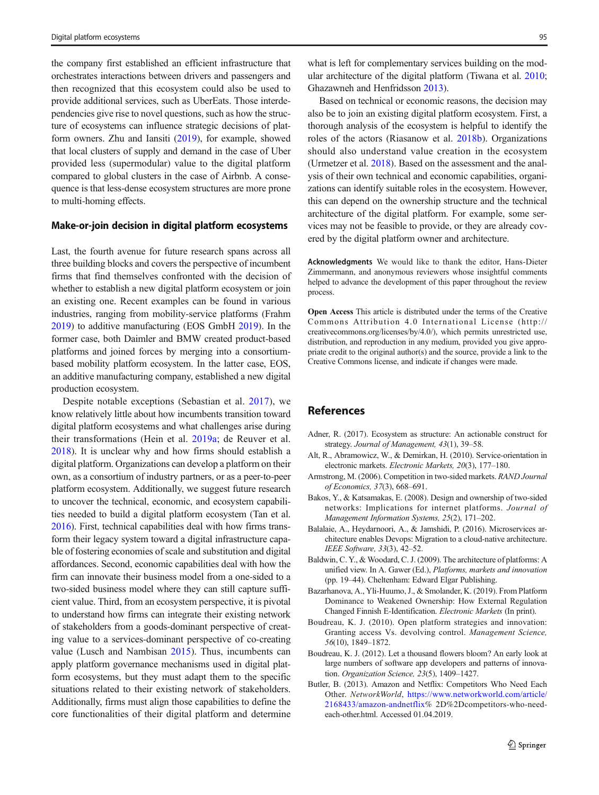<span id="page-8-0"></span>the company first established an efficient infrastructure that orchestrates interactions between drivers and passengers and then recognized that this ecosystem could also be used to provide additional services, such as UberEats. Those interdependencies give rise to novel questions, such as how the structure of ecosystems can influence strategic decisions of platform o[wners](#page-10-0). Zhu and Iansiti (2019), for example, showed that local clusters of supply and demand in the case of Uber provided less (supermodular) value to the digital platform compared to global clusters in the case of Airbnb. A consequence is that less-dense ecosystem structures are more prone to multi-homing effects.

#### Make-or-join decision in digital platform ecosystems

Last, the fourth avenue for future research spans across all three building blocks and covers the perspective of incumbent firms that find themselves confronted with the decision of whether to establish a new digital platform ecosystem or join an existing one. Recent examples can be found in various industries, ranging from mobility-service platforms (Frahm [2019\)](#page-9-0) to additive manufacturing (EOS GmbH [2019\)](#page-9-0). In the former case, both Daimler and BMW created product-based platforms and joined forces by merging into a consortiumbased mobility platform ecosystem. In the latter case, EOS, an additive manufacturing company, established a new digital production ecosystem.

Despite notable exceptions (Sebastian et al. [2017\)](#page-10-0), we know relatively little about how incumbents transition toward digital platform ecosystems and what challenges arise during their transformations (Hein et al. [2019a;](#page-9-0) de Reuver et al. [2018\)](#page-9-0). It is unclear why and how firms should establish a digital platform. Organizations can develop a platform on their own, as a consortium of industry partners, or as a peer-to-peer platform ecosystem. Additionally, we suggest future research to uncover the technical, economic, and ecosystem capabilities needed to build a digital platform ecosystem (Tan et al. [2016\)](#page-10-0). First, technical capabilities deal with how firms transform their legacy system toward a digital infrastructure capable of fostering economies of scale and substitution and digital affordances. Second, economic capabilities deal with how the firm can innovate their business model from a one-sided to a two-sided business model where they can still capture sufficient value. Third, from an ecosystem perspective, it is pivotal to understand how firms can integrate their existing network of stakeholders from a goods-dominant perspective of creating value to a services-dominant perspective of co-creating value (Lusch and Nambisan [2015\)](#page-9-0). Thus, incumbents can apply platform governance mechanisms used in digital platform ecosystems, but they must adapt them to the specific situations related to their existing network of stakeholders. Additionally, firms must align those capabilities to define the core functionalities of their digital platform and determine

what is left for complementary services building on the modular architecture of the digital platform (Tiwana et al. [2010;](#page-10-0) Ghazawneh and Henfridsson [2013\)](#page-9-0).

Based on technical or economic reasons, the decision may also be to join an existing digital platform ecosystem. First, a thorough analysis of the ecosystem is helpful to identify the roles of the actors (Riasanow et al. [2018b](#page-10-0)). Organizations should also understand value creation in the ecosystem (Urmetzer et al. [2018\)](#page-10-0). Based on the assessment and the analysis of their own technical and economic capabilities, organizations can identify suitable roles in the ecosystem. However, this can depend on the ownership structure and the technical architecture of the digital platform. For example, some services may not be feasible to provide, or they are already covered by the digital platform owner and architecture.

Acknowledgments We would like to thank the editor, Hans-Dieter Zimmermann, and anonymous reviewers whose insightful comments helped to advance the development of this paper throughout the review process.

Open Access This article is distributed under the terms of the Creative Commons Attribution 4.0 International License (http:// creativecommons.org/licenses/by/4.0/), which permits unrestricted use, distribution, and reproduction in any medium, provided you give appropriate credit to the original author(s) and the source, provide a link to the Creative Commons license, and indicate if changes were made.

### References

- Adner, R. (2017). Ecosystem as structure: An actionable construct for strategy. Journal of Management, 43(1), 39–58.
- Alt, R., Abramowicz, W., & Demirkan, H. (2010). Service-orientation in electronic markets. Electronic Markets, 20(3), 177–180.
- Armstrong, M. (2006). Competition in two-sided markets. RAND Journal of Economics, 37(3), 668–691.
- Bakos, Y., & Katsamakas, E. (2008). Design and ownership of two-sided networks: Implications for internet platforms. Journal of Management Information Systems, 25(2), 171–202.
- Balalaie, A., Heydarnoori, A., & Jamshidi, P. (2016). Microservices architecture enables Devops: Migration to a cloud-native architecture. IEEE Software, 33(3), 42–52.
- Baldwin, C. Y., & Woodard, C. J. (2009). The architecture of platforms: A unified view. In A. Gawer (Ed.), Platforms, markets and innovation (pp. 19–44). Cheltenham: Edward Elgar Publishing.
- Bazarhanova, A., Yli-Huumo, J., & Smolander, K. (2019). From Platform Dominance to Weakened Ownership: How External Regulation Changed Finnish E-Identification. Electronic Markets (In print).
- Boudreau, K. J. (2010). Open platform strategies and innovation: Granting access Vs. devolving control. Management Science, 56(10), 1849–1872.
- Boudreau, K. J. (2012). Let a thousand flowers bloom? An early look at large n[umbers of software app developers and patterns of innova](https://www.networkworld.com/article/2168433/amazon-and-netflix%2D%2Dcompetitors-who-need-each-other.html)tion. [Organization Science, 23](https://www.networkworld.com/article/2168433/amazon-and-netflix%2D%2Dcompetitors-who-need-each-other.html)(5), 1409–1427.
- Butler, B. (2013). Amazon and Netflix: Competitors Who Need Each Other. NetworkWorld, https://www.networkworld.com/article/ 2168433/amazon-andnetflix% 2D%2Dcompetitors-who-needeach-other.html. Accessed 01.04.2019.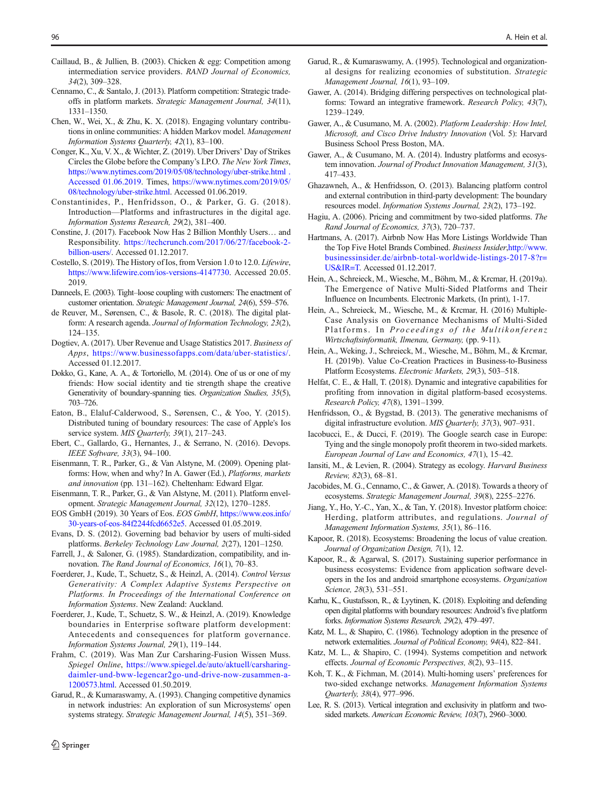- <span id="page-9-0"></span>Caillaud, B., & Jullien, B. (2003). Chicken & egg: Competition among intermediation service providers. RAND Journal of Economics, 34(2), 309–328.
- Cennamo, C., & Santalo, J. (2013). Platform competition: Strategic tradeoffs in platform markets. Strategic Management Journal, 34(11), 1331–1350.
- Chen, W., Wei, X., & Zhu, K. X. (2018). Engaging voluntary contributions in online communities: A hidden Markov model. [Management](https://www.nytimes.com/2019/05/08/technology/uber-strike.html) [Information Systems Quarterly, 42](https://www.nytimes.com/2019/05/08/technology/uber-strike.html)(1), 83–100.
- Conger, K., Xu, V. X., & Wichter, Z. (2019). Uber Drivers' Day of Strikes Circles the Globe before the Company's I.P.O. The New York Times, https://www.nytimes.com/2019/05/08/technology/uber-strike.html . Accessed 01.06.2019. Times, https://www.nytimes.com/2019/05/ 08/technology/u[ber-strike.html. Accessed 01.06.2019.](https://techcrunch.com/2017/06/27/facebook-2-billion-users/)
- Con[stantinides,](https://techcrunch.com/2017/06/27/facebook-2-billion-users/) P., Henfridsson, O., & Parker, G. G. (2018). Introduction—Platforms and infrastructures in the digit[al age.](https://www.lifewire.com/ios-versions-4147730) [Information Systems Research, 29](https://www.lifewire.com/ios-versions-4147730)(2), 381–400.
- Constine, J. (2017). Facebook Now Has 2 Billion Monthly Users… and Responsibility. https://techcrunch.com/2017/06/27/facebook-2 billion-users/. Accessed 01.12.2017.
- Costello, S. (2019). The History of Ios, from Version 1.0 to 12.0. Lifewire, https://www.lifewire.com/ios-versions-4147730. Accessed 20.05. 2019.
- Dan[neels, E. \(2003\). Tight](https://www.businessofapps.com/data/uber-statistics/)–loose coupling with customers: The [enactment](https://www.businessofapps.com/data/uber-statistics/) [of](https://www.businessofapps.com/data/uber-statistics/) customer orientation. Strategic Management Journal, 24(6), 559–576.
- de Reuver, M., Sørensen, C., & Basole, R. C. (2018). The digital platform: A research agenda. Journal of Information Technology, 23(2), 124–135.
- Dogtiev, A. (2017). Uber Revenue and Usage Statistics 2017. Business of Apps, https://www.businessofapps.com/data/uber-statistics/. Accessed 01.12.2017.
- Dokko, G., Kane, A. A., & Tortoriello, M. (2014). One of us or one of my friends: How social identity and tie strength shape the creative Generativity of boundary-spanning ties. Organization Studies, 35(5), 703–726.
- Eaton, B., Elaluf-Calderwood, S., Sørensen, C., & Yoo, Y. (2015). Distributed tuning of boundary resources: The case of Apple's Ios service system. MIS Quarterly, 39(1), 217-243.
- Ebert, C., Gallardo, G., Hernantes, J.[, & Serrano, N. \(2016\). Devops.](https://www.eos.info/30-years-of-eos-84f2244fcd6652e5) IEEE Software, 33(3), 94–100.
- Eise[nmann,](https://www.eos.info/30-years-of-eos-84f2244fcd6652e5) [T.](https://www.eos.info/30-years-of-eos-84f2244fcd6652e5) [R.,](https://www.eos.info/30-years-of-eos-84f2244fcd6652e5) [Parker,](https://www.eos.info/30-years-of-eos-84f2244fcd6652e5) [G](https://www.eos.info/30-years-of-eos-84f2244fcd6652e5)., & Van Alstyne, M. (2009). Opening platforms: How, when and why? In A. Gawer (Ed.), Platforms, markets and innovation (pp. 131–162). Cheltenham: Edward Elgar.
- Eisenmann, T. R., Parker, G., & Van Alstyne, M. (2011). Platform envelopment. Strategic Management Journal, 32(12), 1270–1285.
- EOS GmbH (2019). 30 Years of Eos. EOS GmbH, https://www.eos.info/ 30-years-of-eos-84f2244fcd6652e5. Accessed 01.05.2019.
- Evans, D. S. (2012). Governing bad behavior by users of multi-sided platforms. Berkeley Technology Law Journal, 2(27), 1201–1250.
- Farrell, J., & Saloner, G. (1985). Standardization, compatibility, and innovation. The Rand Journal of Economics, 16(1), 70–83.
- Foerderer, J., Kude, T., Schuetz, S., & Heinzl, A. (2014). Control Versus Generativity: A Complex Adaptive Systems Perspective on Platforms. In Proceedings of the International Confere[nce on](https://www.spiegel.de/auto/aktuell/carsharing-daimler-und-bww-legen-car2go-und-drive-now-zusammen-a-1200573.html) Information Systems[. New Zealand: Auckland.](https://www.spiegel.de/auto/aktuell/carsharing-daimler-und-bww-legen-car2go-und-drive-now-zusammen-a-1200573.html)
- Foer[derer, J., Kude, T., Schuetz, S. W., & Heinzl, A. \(201](https://www.spiegel.de/auto/aktuell/carsharing-daimler-und-bww-legen-car2go-und-drive-now-zusammen-a-1200573.html)9). Knowledge boundaries in Enterprise software platform development: Antecedents and consequences for platform governance. Information Systems Journal, 29(1), 119–144.
- Frahm, C. (2019). Was Man Zur Carsharing-Fusion Wissen Muss. Spiegel Online, https://www.spiegel.de/auto/aktuell/carsharingdaimler-und-bww-legencar2go-und-drive-now-zusammen-a-1200573.html. Accessed 01.50.2019.
- Garud, R., & Kumaraswamy, A. (1993). Changing competitive dynamics in network industries: An exploration of sun Microsystems' open systems strategy. Strategic Management Journal, 14(5), 351–369.
- Garud, R., & Kumaraswamy, A. (1995). Technological and organizational designs for realizing economies of substitution. Strategic Management Journal, 16(1), 93–109.
- Gawer, A. (2014). Bridging differing perspectives on technological platforms: Toward an integrative framework. Research Policy, 43(7), 1239–1249.
- Gawer, A., & Cusumano, M. A. (2002). Platform Leadership: How Intel, Microsoft, and Cisco Drive Industry Innovation (Vol. 5): Harvard Business School Press Boston, MA.
- Gawer, A., & Cusumano, M. A. (2014). Industry platforms and ecosystem innovation. Journal of Product Innovation Management, 31(3), 417–433.
- Ghazawneh, A., & Henfridsson, O. (2013). [Balancing](http://www.businessinsider.de/airbnb-total-worldwide-listings-2017-8?r=US&IR=T) [platform](http://www.businessinsider.de/airbnb-total-worldwide-listings-2017-8?r=US&IR=T) [control](http://www.businessinsider.de/airbnb-total-worldwide-listings-2017-8?r=US&IR=T) [and](http://www.businessinsider.de/airbnb-total-worldwide-listings-2017-8?r=US&IR=T) [external](http://www.businessinsider.de/airbnb-total-worldwide-listings-2017-8?r=US&IR=T) [contribution](http://www.businessinsider.de/airbnb-total-worldwide-listings-2017-8?r=US&IR=T) [in](http://www.businessinsider.de/airbnb-total-worldwide-listings-2017-8?r=US&IR=T) [third-party](http://www.businessinsider.de/airbnb-total-worldwide-listings-2017-8?r=US&IR=T) [development:](http://www.businessinsider.de/airbnb-total-worldwide-listings-2017-8?r=US&IR=T) [The](http://www.businessinsider.de/airbnb-total-worldwide-listings-2017-8?r=US&IR=T) boundary resources model. Information Systems Journal, 23(2), 173–192.
- Hagiu, A. (2006). Pricing and commitment by two-sided platforms. The Rand Journal of Economics, 37(3), 720–737.
- Hartmans, A. (2017). Airbnb Now Has More Listings Worldwide Than the Top Five Hotel Brands Combined. Business Insider, http://www. businessinsider.de/airbnb-total-worldwide-listings-2017-8?r= US&IR=T. Accessed 01.12.2017.
- Hein, A., Schreieck, M., Wiesche, M., Böhm, M., & Krcmar, H. (2019a). The Emergence of Native Multi-Sided Platforms and Their Influence on Incumbents. Electronic Markets, (In print), 1-17.
- Hein, A., Schreieck, M., Wiesche, M., & Krcmar, H. (2016) Multiple-Case Analysis on Governance Mechanisms of Multi-Sided Platforms. In Proceedings of the Multikonferenz Wirtschaftsinformatik, Ilmenau, Germany, (pp. 9-11).
- Hein, A., Weking, J., Schreieck, M., Wiesche, M., Böhm, M., & Krcmar, H. (2019b). Value Co-Creation Practices in Business-to-Business Platform Ecosystems. Electronic Markets, 29(3), 503–518.
- Helfat, C. E., & Hall, T. (2018). Dynamic and integrative capabilities for profiting from innovation in digital platform-based ecosystems. Research Policy, 47(8), 1391–1399.
- Henfridsson, O., & Bygstad, B. (2013). The generative mechanisms of digital infrastructure evolution. MIS Quarterly, 37(3), 907–931.
- Iacobucci, E., & Ducci, F. (2019). The Google search case in Europe: Tying and the single monopoly profit theorem in two-sided markets. European Journal of Law and Economics, 47(1), 15–42.
- Iansiti, M., & Levien, R. (2004). Strategy as ecology. Harvard Business Review, 82(3), 68–81.
- Jacobides, M. G., Cennamo, C., & Gawer, A. (2018). Towards a theory of ecosystems. Strategic Management Journal, 39(8), 2255–2276.
- Jiang, Y., Ho, Y.-C., Yan, X., & Tan, Y. (2018). Investor platform choice: Herding, platform attributes, and regulations. Journal of Management Information Systems, 35(1), 86–116.
- Kapoor, R. (2018). Ecosystems: Broadening the locus of value creation. Journal of Organization Design, 7(1), 12.
- Kapoor, R., & Agarwal, S. (2017). Sustaining superior performance in business ecosystems: Evidence from application software developers in the Ios and android smartphone ecosystems. Organization Science, 28(3), 531–551.
- Karhu, K., Gustafsson, R., & Lyytinen, K. (2018). Exploiting and defending open digital platforms with boundary resources: Android's five platform forks. Information Systems Research, 29(2), 479–497.
- Katz, M. L., & Shapiro, C. (1986). Technology adoption in the presence of network externalities. Journal of Political Economy, 94(4), 822–841.
- Katz, M. L., & Shapiro, C. (1994). Systems competition and n[etwork](https://district0x.io/docs/district0x-whitepaper.pdf) effects. [Journal of Economic Perspective](https://district0x.io/docs/district0x-whitepaper.pdf)s, 8(2), 93–115.
- Koh, T. K., & Fichman, M. (2014). Multi-homing users' preferences for two-sided exchange networks. Management Information Systems Quarterly, 38(4), 977–996.
- Lee, R. S. (2013). Vertical integration and exclusivity in platform and twosided markets. American Economic Review, 103(7), 2960–3000.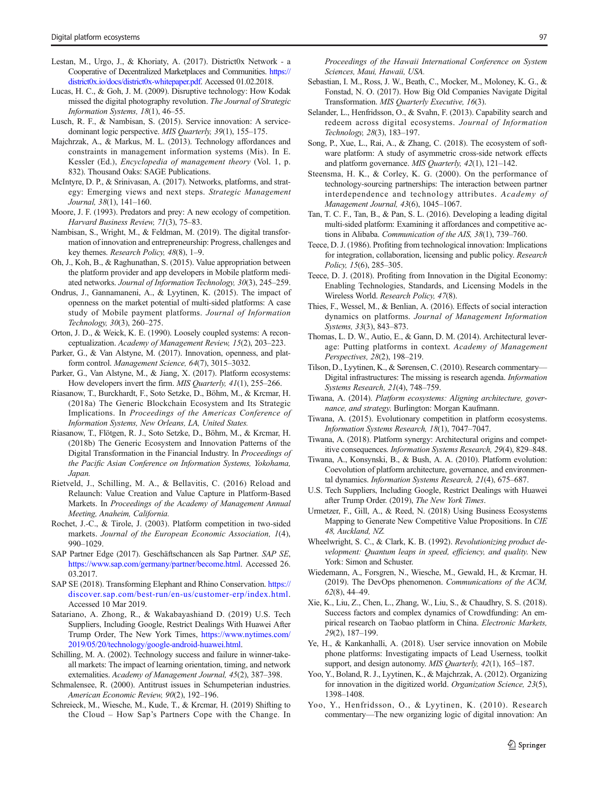- <span id="page-10-0"></span>Lestan, M., Urgo, J., & Khoriaty, A. (2017). District0x Network - a Cooperative of Decentralized Marketplaces and Communities. https:// district0x.io/docs/district0x-whitepaper.pdf. Accessed 01.02.2018.
- Lucas, H. C., & Goh, J. M. (2009). Disruptive technology: How Kodak missed the digital photography revolution. The Journal of Strategic Information Systems, 18(1), 46–55.
- Lusch, R. F., & Nambisan, S. (2015). Service innovation: A servicedominant logic perspective. MIS Quarterly, 39(1), 155-175.
- Majchrzak, A., & Markus, M. L. (2013). Technology affordances and constraints in management information systems (Mis). In E. Kessler (Ed.), Encyclopedia of management theory (Vol. 1, p. 832). Thousand Oaks: SAGE Publications.
- McIntyre, D. P., & Srinivasan, A. (2017). Networks, platforms, and strategy: Emerging views and next steps. Strategic Management Journal, 38(1), 141–160.
- Moore, J. F. (1993). Predators and prey: A new ecology of competition. Harvard Business Review, 71(3), 75–83.
- Nambisan, S., Wright, M., & Feldman, M. (2019). The digital transformation of innovation and entrepreneurship: Progress, challenges and key themes. Research Policy, 48(8), 1–9.
- Oh, J., Koh, B., & Raghunathan, S. (2015). Value appropriation between the platform provider and app developers in Mobile platform mediated networks. Journal of Information Technology, 30(3), 245–259.
- Ondrus, J., Gannamaneni, A., & Lyytinen, K. (2015). The impact of openness on the market potential of multi-sided platforms: A case study of Mobile payment platforms. Journal of Information Technology, 30(3), 260–275.
- Orton, J. D., & Weick, K. E. (1990). Loosely coupled systems: A reconceptualization. Academy of Management Review, 15(2), 203–223.
- Parker, G., & Van Alstyne, M. (2017). Innovation, openness, and platform control. Management Science, 64(7), 3015–3032.
- Parker, G., Van Alstyne, M., & Jiang, X. (2017). Platform ecosystems: How developers invert the firm. MIS Quarterly, 41(1), 255–266.
- Riasanow, T., Burckhardt, F., Soto Setzke, D., Böhm, M., & Krcmar, H. (2018a) The Generic Blockchain Ecosystem and Its Strategic Implications. In Proceedings of the Americas Conference of Information Systems, New Orleans, LA, United States.
- Riasanow, T., Flötgen, R. J., Soto Setzke, D., Böhm, M., & Krcmar, H. (2018b) The Generic Ecosystem and Innovation Patterns of the Digital Transformation in the Financial Industry. In Proceedings of the Pacific Asian Conference on Information Systems, Yokohama, Japan.
- Riet[veld, J., Schilling, M. A., & Bellavitis, C. \(](https://www.sap.com/germany/partner/become.html)2016) Reload and Relaunch: Value Creation and Value Capture in Platform-Based Markets. In Proceedings of the Academy of Management [Annual](https://discover.sap.com/best-run/en-us/customer-erp/index.html) [Meeting, Anaheim, California.](https://discover.sap.com/best-run/en-us/customer-erp/index.html)
- Rochet, J.-C., & Tirole, J. (2003). Platform competition in two-sided markets. Journal of the European Economic Association, 1(4), 990–1029.
- SAP Partner Edge (2017). Geschäftschancen als Sap Partner. SAP SE, https://www.sap.com/germany/partner/become.html. Accessed 26. 03.2017.
- SAP SE (2018). Transforming Elephant and Rhino Conservation. https:// discover.sap.com/best-run/en-us/customer-erp/index.html. Accessed 10 Mar 2019.
- Satariano, A. Zhong, R., & Wakabayashiand D. (2019) U.S. Tech Suppliers, Including Google, Restrict Dealings With Huawei After Trump Order, The New York Times, https://www.nytimes.com/ 2019/05/20/technology/google-android-huawei.html.
- Schilling, M. A. (2002). Technology success and failure in winner-takeall markets: The impact of learning orientation, timing, and network externalities. Academy of Management Journal, 45(2), 387–398.
- Schmalensee, R. (2000). Antitrust issues in Schumpeterian industries. American Economic Review, 90(2), 192–196.
- Schreieck, M., Wiesche, M., Kude, T., & Krcmar, H. (2019) Shifting to the Cloud – How Sap's Partners Cope with the Change. In

Proceedings of the Hawaii International Conference on System Sciences, Maui, Hawaii, USA.

- Sebastian, I. M., Ross, J. W., Beath, C., Mocker, M., Moloney, K. G., & Fonstad, N. O. (2017). How Big Old Companies Navigate Digital Transformation. MIS Quarterly Executive, 16(3).
- Selander, L., Henfridsson, O., & Svahn, F. (2013). Capability search and redeem across digital ecosystems. Journal of Information Technology, 28(3), 183–197.
- Song, P., Xue, L., Rai, A., & Zhang, C. (2018). The ecosystem of software platform: A study of asymmetric cross-side network effects and platform governance. MIS Quarterly, 42(1), 121-142.
- Steensma, H. K., & Corley, K. G. (2000). On the performance of technology-sourcing partnerships: The interaction between partner interdependence and technology attributes. Academy of Management Journal, 43(6), 1045–1067.
- Tan, T. C. F., Tan, B., & Pan, S. L. (2016). Developing a leading digital multi-sided platform: Examining it affordances and competitive actions in Alibaba. Communication of the AIS, 38(1), 739–760.
- Teece, D. J. (1986). Profiting from technological innovation: Implications for integration, collaboration, licensing and public policy. Research Policy, 15(6), 285–305.
- Teece, D. J. (2018). Profiting from Innovation in the Digital Economy: Enabling Technologies, Standards, and Licensing Models in the Wireless World. Research Policy, 47(8).
- Thies, F., Wessel, M., & Benlian, A. (2016). Effects of social interaction dynamics on platforms. Journal of Management Information Systems, 33(3), 843–873.
- Thomas, L. D. W., Autio, E., & Gann, D. M. (2014). Architectural leverage: Putting platforms in context. Academy of Management Perspectives, 28(2), 198–219.
- Tilson, D., Lyytinen, K., & Sørensen, C. (2010). Research commentary— Digital infrastructures: The missing is research agenda. Information Systems Research, 21(4), 748–759.
- Tiwana, A. (2014). Platform ecosystems: Aligning architecture, governance, and strategy. Burlington: Morgan Kaufmann.
- Tiwana, A. (2015). Evolutionary competition in platform ecosystems. Information Systems Research, 18(1), 7047–7047.
- Tiwana, A. (2018). Platform synergy: Architectural origins and competitive consequences. Information Systems Research, 29(4), 829–848.
- Tiwana, A., Konsynski, B., & Bush, A. A. (2010). Platform evolution: Coevolution of platform architecture, governance, and environmental dynamics. Information Systems Research, 21(4), 675–687.
- U.S. Tech Suppliers, Including Google, Restrict Dealings with Huawei after Trump Order. (2019), The New York Times.
- Urmetzer, F., Gill, A., & Reed, N. (2018) Using Business Ecosystems Mapping to Generate New Competitive Value Propositions. In CIE 48, Auckland, NZ.
- Wheelwright, S. C., & Clark, K. B. (1992). Revolutionizing product development: Quantum leaps in speed, efficiency, and quality. New York: Simon and Schuster.
- Wiedemann, A., Forsgren, N., Wiesche, M., Gewald, H., & Krcmar, H. (2019). The DevOps phenomenon. Communications of the ACM, 62(8), 44–49.
- Xie, K., Liu, Z., Chen, L., Zhang, W., Liu, S., & Chaudhry, S. S. (2018). Success factors and complex dynamics of Crowdfunding: An empirical research on Taobao platform in China. Electronic Markets, 29(2), 187–199.
- Ye, H., & Kankanhalli, A. (2018). User service innovation on Mobile phone platforms: Investigating impacts of Lead Userness, toolkit support, and design autonomy. MIS Quarterly, 42(1), 165-187.
- Yoo, Y., Boland, R. J., Lyytinen, K., & Majchrzak, A. (2012). Organizing for innovation in the digitized world. Organization Science, 23(5), 1398–1408.
- Yoo, Y., Henfridsson, O., & Lyytinen, K. (2010). Research commentary—The new organizing logic of digital innovation: An